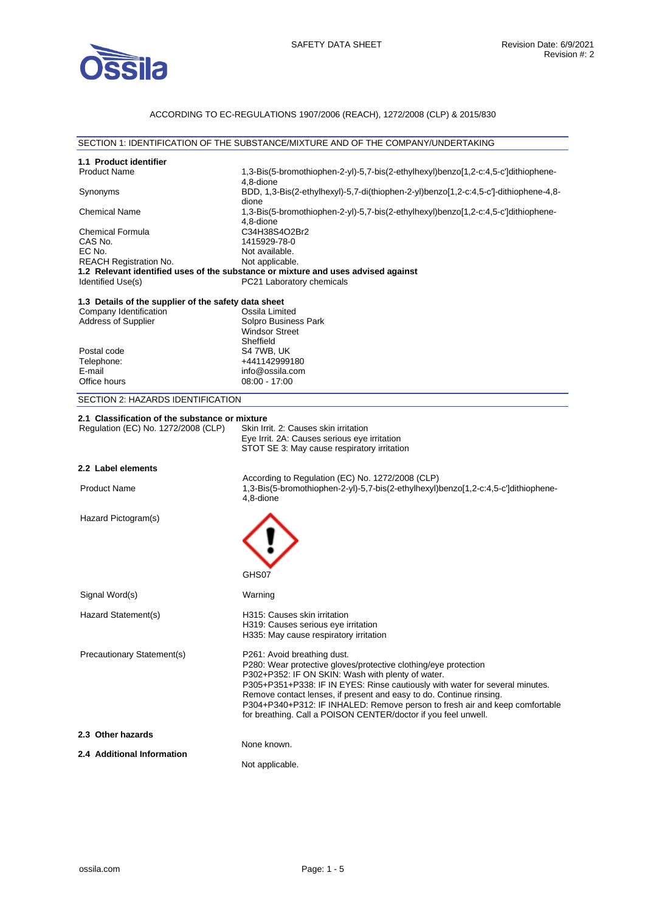

## ACCORDING TO EC-REGULATIONS 1907/2006 (REACH), 1272/2008 (CLP) & 2015/830

| SECTION 1: IDENTIFICATION OF THE SUBSTANCE/MIXTURE AND OF THE COMPANY/UNDERTAKING |                                                                                                                                               |  |  |
|-----------------------------------------------------------------------------------|-----------------------------------------------------------------------------------------------------------------------------------------------|--|--|
| 1.1 Product identifier                                                            |                                                                                                                                               |  |  |
| <b>Product Name</b>                                                               | 1,3-Bis(5-bromothiophen-2-yl)-5,7-bis(2-ethylhexyl)benzo[1,2-c:4,5-c']dithiophene-                                                            |  |  |
|                                                                                   | 4,8-dione                                                                                                                                     |  |  |
| Synonyms                                                                          | BDD, 1,3-Bis(2-ethylhexyl)-5,7-di(thiophen-2-yl)benzo[1,2-c:4,5-c']-dithiophene-4,8-<br>dione                                                 |  |  |
| <b>Chemical Name</b>                                                              | 1,3-Bis(5-bromothiophen-2-yl)-5,7-bis(2-ethylhexyl)benzo[1,2-c:4,5-c']dithiophene-                                                            |  |  |
|                                                                                   | 4,8-dione                                                                                                                                     |  |  |
| <b>Chemical Formula</b>                                                           | C34H38S4O2Br2                                                                                                                                 |  |  |
| CAS No.<br>EC No.                                                                 | 1415929-78-0<br>Not available.                                                                                                                |  |  |
| REACH Registration No.                                                            | Not applicable.                                                                                                                               |  |  |
|                                                                                   | 1.2 Relevant identified uses of the substance or mixture and uses advised against                                                             |  |  |
| Identified Use(s)                                                                 | PC21 Laboratory chemicals                                                                                                                     |  |  |
| 1.3 Details of the supplier of the safety data sheet                              |                                                                                                                                               |  |  |
| Company Identification                                                            | Ossila Limited                                                                                                                                |  |  |
| <b>Address of Supplier</b>                                                        | Solpro Business Park                                                                                                                          |  |  |
|                                                                                   | <b>Windsor Street</b>                                                                                                                         |  |  |
| Postal code                                                                       | Sheffield<br>S4 7WB, UK                                                                                                                       |  |  |
| Telephone:                                                                        | +441142999180                                                                                                                                 |  |  |
| E-mail                                                                            | info@ossila.com                                                                                                                               |  |  |
| Office hours                                                                      | $08:00 - 17:00$                                                                                                                               |  |  |
| SECTION 2: HAZARDS IDENTIFICATION                                                 |                                                                                                                                               |  |  |
| 2.1 Classification of the substance or mixture                                    |                                                                                                                                               |  |  |
| Regulation (EC) No. 1272/2008 (CLP)                                               | Skin Irrit. 2: Causes skin irritation                                                                                                         |  |  |
|                                                                                   | Eye Irrit. 2A: Causes serious eye irritation                                                                                                  |  |  |
|                                                                                   | STOT SE 3: May cause respiratory irritation                                                                                                   |  |  |
| 2.2 Label elements                                                                |                                                                                                                                               |  |  |
|                                                                                   | According to Regulation (EC) No. 1272/2008 (CLP)                                                                                              |  |  |
| <b>Product Name</b>                                                               | 1,3-Bis(5-bromothiophen-2-yl)-5,7-bis(2-ethylhexyl)benzo[1,2-c:4,5-c']dithiophene-                                                            |  |  |
|                                                                                   | 4,8-dione                                                                                                                                     |  |  |
| Hazard Pictogram(s)                                                               |                                                                                                                                               |  |  |
|                                                                                   |                                                                                                                                               |  |  |
|                                                                                   |                                                                                                                                               |  |  |
|                                                                                   |                                                                                                                                               |  |  |
|                                                                                   |                                                                                                                                               |  |  |
|                                                                                   | GHS07                                                                                                                                         |  |  |
| Signal Word(s)                                                                    | Warning                                                                                                                                       |  |  |
|                                                                                   | H315: Causes skin irritation                                                                                                                  |  |  |
| Hazard Statement(s)                                                               | H319: Causes serious eye irritation                                                                                                           |  |  |
|                                                                                   | H335: May cause respiratory irritation                                                                                                        |  |  |
|                                                                                   |                                                                                                                                               |  |  |
| Precautionary Statement(s)                                                        | P261: Avoid breathing dust.<br>P280: Wear protective gloves/protective clothing/eye protection                                                |  |  |
|                                                                                   | P302+P352: IF ON SKIN: Wash with plenty of water.                                                                                             |  |  |
|                                                                                   | P305+P351+P338: IF IN EYES: Rinse cautiously with water for several minutes.                                                                  |  |  |
|                                                                                   | Remove contact lenses, if present and easy to do. Continue rinsing.                                                                           |  |  |
|                                                                                   | P304+P340+P312: IF INHALED: Remove person to fresh air and keep comfortable<br>for breathing. Call a POISON CENTER/doctor if you feel unwell. |  |  |
|                                                                                   |                                                                                                                                               |  |  |
| 2.3 Other hazards                                                                 | None known.                                                                                                                                   |  |  |
| 2.4 Additional Information                                                        |                                                                                                                                               |  |  |
|                                                                                   | Not applicable.                                                                                                                               |  |  |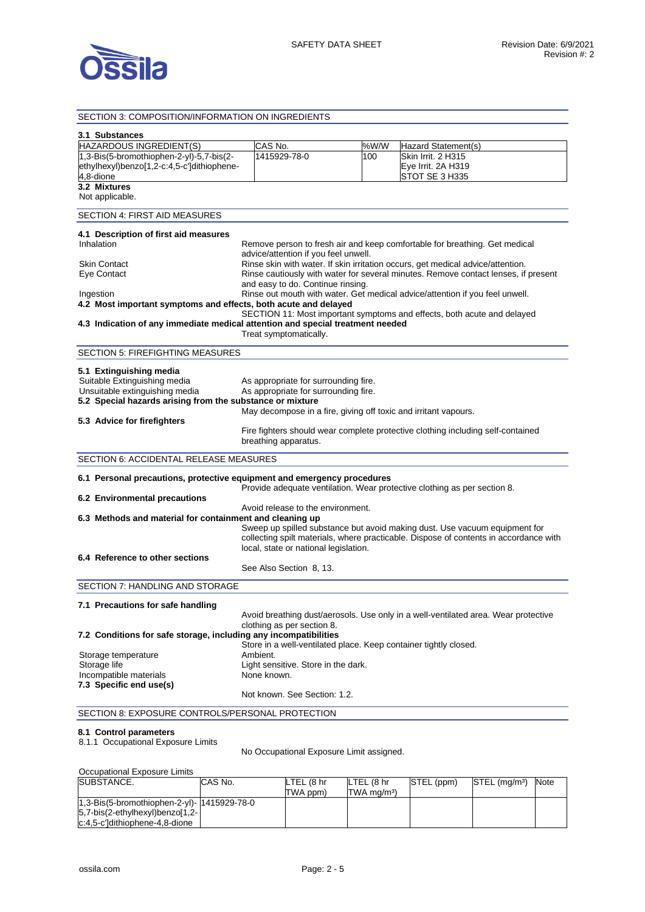

## SECTION 3: COMPOSITION/INFORMATION ON INGREDIENTS

| 3.1 Substances                                                                 |                                                                              |      |                                                                                       |
|--------------------------------------------------------------------------------|------------------------------------------------------------------------------|------|---------------------------------------------------------------------------------------|
| HAZARDOUS INGREDIENT(S)                                                        | CAS No.                                                                      | %W/W | Hazard Statement(s)                                                                   |
| 1,3-Bis(5-bromothiophen-2-yl)-5,7-bis(2-                                       | 1415929-78-0                                                                 | 100  | Skin Irrit. 2 H315                                                                    |
| ethylhexyl)benzo[1,2-c:4,5-c']dithiophene-                                     |                                                                              |      | Eye Irrit. 2A H319                                                                    |
| 4,8-dione<br>3.2 Mixtures                                                      |                                                                              |      | STOT SE 3 H335                                                                        |
| Not applicable.                                                                |                                                                              |      |                                                                                       |
| SECTION 4: FIRST AID MEASURES                                                  |                                                                              |      |                                                                                       |
|                                                                                |                                                                              |      |                                                                                       |
| 4.1 Description of first aid measures<br>Inhalation                            |                                                                              |      |                                                                                       |
|                                                                                | advice/attention if you feel unwell.                                         |      | Remove person to fresh air and keep comfortable for breathing. Get medical            |
| <b>Skin Contact</b>                                                            |                                                                              |      | Rinse skin with water. If skin irritation occurs, get medical advice/attention.       |
| Eye Contact                                                                    |                                                                              |      | Rinse cautiously with water for several minutes. Remove contact lenses, if present    |
|                                                                                | and easy to do. Continue rinsing.                                            |      |                                                                                       |
| Ingestion<br>4.2 Most important symptoms and effects, both acute and delayed   | Rinse out mouth with water. Get medical advice/attention if you feel unwell. |      |                                                                                       |
|                                                                                |                                                                              |      | SECTION 11: Most important symptoms and effects, both acute and delayed               |
| 4.3 Indication of any immediate medical attention and special treatment needed |                                                                              |      |                                                                                       |
|                                                                                | Treat symptomatically.                                                       |      |                                                                                       |
| SECTION 5: FIREFIGHTING MEASURES                                               |                                                                              |      |                                                                                       |
| 5.1 Extinguishing media                                                        |                                                                              |      |                                                                                       |
| Suitable Extinguishing media                                                   | As appropriate for surrounding fire.                                         |      |                                                                                       |
| Unsuitable extinguishing media                                                 | As appropriate for surrounding fire.                                         |      |                                                                                       |
| 5.2 Special hazards arising from the substance or mixture                      |                                                                              |      |                                                                                       |
| 5.3 Advice for firefighters                                                    | May decompose in a fire, giving off toxic and irritant vapours.              |      |                                                                                       |
|                                                                                |                                                                              |      | Fire fighters should wear complete protective clothing including self-contained       |
|                                                                                | breathing apparatus.                                                         |      |                                                                                       |
| <b>SECTION 6: ACCIDENTAL RELEASE MEASURES</b>                                  |                                                                              |      |                                                                                       |
|                                                                                |                                                                              |      |                                                                                       |
| 6.1 Personal precautions, protective equipment and emergency procedures        |                                                                              |      | Provide adequate ventilation. Wear protective clothing as per section 8.              |
| 6.2 Environmental precautions                                                  |                                                                              |      |                                                                                       |
| Avoid release to the environment.                                              |                                                                              |      |                                                                                       |
| 6.3 Methods and material for containment and cleaning up                       |                                                                              |      |                                                                                       |
|                                                                                |                                                                              |      | Sweep up spilled substance but avoid making dust. Use vacuum equipment for            |
|                                                                                | local, state or national legislation.                                        |      | collecting spilt materials, where practicable. Dispose of contents in accordance with |
| 6.4 Reference to other sections                                                |                                                                              |      |                                                                                       |
|                                                                                | See Also Section 8, 13.                                                      |      |                                                                                       |
| SECTION 7: HANDLING AND STORAGE                                                |                                                                              |      |                                                                                       |
| 7.1 Precautions for safe handling                                              |                                                                              |      |                                                                                       |
|                                                                                |                                                                              |      | Avoid breathing dust/aerosols. Use only in a well-ventilated area. Wear protective    |
|                                                                                | clothing as per section 8.                                                   |      |                                                                                       |
| 7.2 Conditions for safe storage, including any incompatibilities               |                                                                              |      |                                                                                       |
|                                                                                | Store in a well-ventilated place. Keep container tightly closed.             |      |                                                                                       |
| Storage temperature<br>Storage life                                            | Ambient.                                                                     |      |                                                                                       |
| Incompatible materials                                                         | Light sensitive. Store in the dark.<br>None known.                           |      |                                                                                       |
| 7.3 Specific end use(s)                                                        |                                                                              |      |                                                                                       |
|                                                                                | Not known. See Section: 1.2.                                                 |      |                                                                                       |
| SECTION 8: EXPOSURE CONTROLS/PERSONAL PROTECTION                               |                                                                              |      |                                                                                       |
| 8.1 Control parameters                                                         |                                                                              |      |                                                                                       |
|                                                                                |                                                                              |      |                                                                                       |

8.1.1 Occupational Exposure Limits

No Occupational Exposure Limit assigned.

| Occupational Exposure Limits                |         |            |                             |            |                           |      |
|---------------------------------------------|---------|------------|-----------------------------|------------|---------------------------|------|
| SUBSTANCE.                                  | CAS No. | LTEL (8 hr | LTEL (8 hr                  | STEL (ppm) | STEL (mg/m <sup>3</sup> ) | Note |
|                                             |         | TWA ppm)   | $TWA$ mg/m <sup>3</sup> $)$ |            |                           |      |
| 1,3-Bis(5-bromothiophen-2-yl)- 1415929-78-0 |         |            |                             |            |                           |      |
| $5,7-bis(2-ethylhexyl)benzo[1,2-]$          |         |            |                             |            |                           |      |
| c:4,5-c']dithiophene-4,8-dione              |         |            |                             |            |                           |      |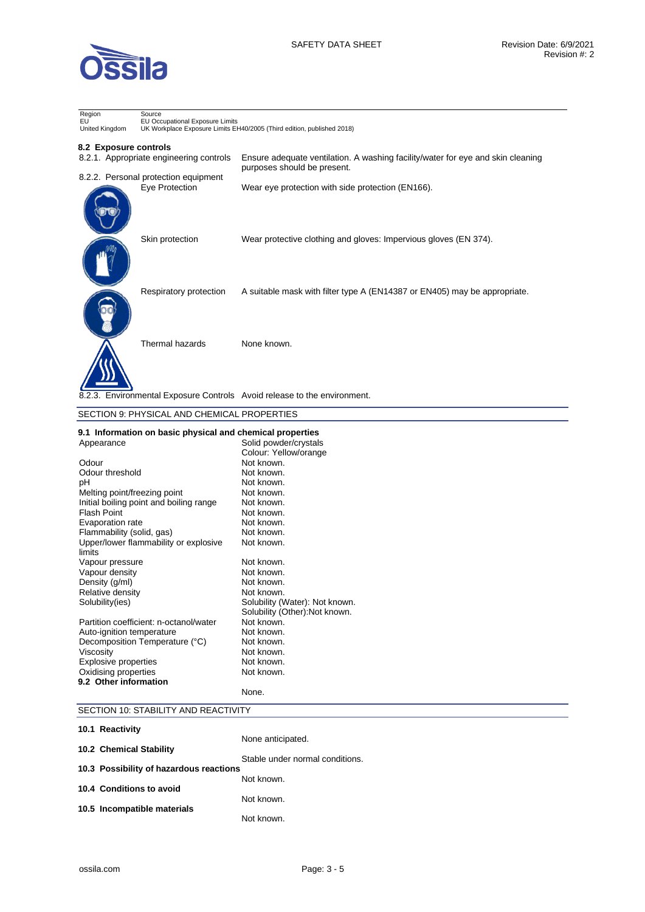

| Region<br>EU<br>United Kingdom | Source<br>EU Occupational Exposure Limits<br>UK Workplace Exposure Limits EH40/2005 (Third edition, published 2018) |                                                                                                                |  |
|--------------------------------|---------------------------------------------------------------------------------------------------------------------|----------------------------------------------------------------------------------------------------------------|--|
| 8.2 Exposure controls          | 8.2.1. Appropriate engineering controls                                                                             | Ensure adequate ventilation. A washing facility/water for eye and skin cleaning<br>purposes should be present. |  |
|                                | 8.2.2. Personal protection equipment<br>Eye Protection                                                              | Wear eye protection with side protection (EN166).                                                              |  |
|                                | Skin protection                                                                                                     | Wear protective clothing and gloves: Impervious gloves (EN 374).                                               |  |
|                                | Respiratory protection                                                                                              | A suitable mask with filter type A (EN14387 or EN405) may be appropriate.                                      |  |
|                                | Thermal hazards                                                                                                     | None known.                                                                                                    |  |
|                                |                                                                                                                     | 8.2.3. Environmental Exposure Controls Avoid release to the environment.                                       |  |

#### SECTION 9: PHYSICAL AND CHEMICAL PROPERTIES **9.1 Information on basic physical and chemical properties**  Appearance Solid powder/crystals Colour: Yellow/orange Odour Not known. Odour threshold Not known. pH Not known.<br>Melting point/freezing point Not known. Melting point/freezing point Not known.<br>Initial boiling point and boiling range Not known. Initial boiling point and boiling range Flash Point Not known. Evaporation rate **Not known.**<br>Flammability (solid. gas) **Not known.** Flammability (solid, gas) Upper/lower flammability or explosive limits Not known. Vapour pressure Not known. Vapour density **Not known**. Density (g/ml) Not known. Relative density and the Not known.<br>
Solubility (ies) Solubility (V Solubility (Water): Not known. Solubility (Other):Not known. Partition coefficient: n-octanol/water Mot known.<br>Auto-ignition temperature Not known. Auto-ignition temperature **Not known.**<br>
Decomposition Temperature (°C) Not known. Decomposition Temperature (°C) Viscosity **Not known.** Explosive properties Not known.<br>
Not known.<br>
Oxidising properties Not known. Oxidising properties **9.2 Other information**  None. SECTION 10: STABILITY AND REACTIVITY **10.1 Reactivity**

| Stable under normal conditions. |
|---------------------------------|
|                                 |
|                                 |
|                                 |
|                                 |
|                                 |
|                                 |
|                                 |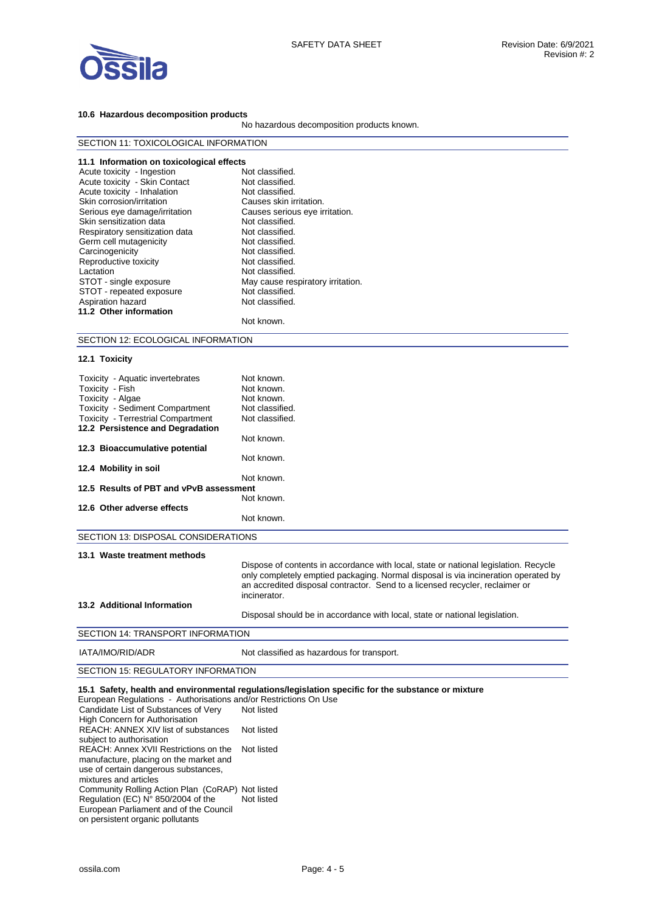

#### **10.6 Hazardous decomposition products**

No hazardous decomposition products known.

| SECTION 11: TOXICOLOGICAL INFORMATION     |                                   |  |  |
|-------------------------------------------|-----------------------------------|--|--|
| 11.1 Information on toxicological effects |                                   |  |  |
| Acute toxicity - Ingestion                | Not classified.                   |  |  |
| Acute toxicity - Skin Contact             | Not classified.                   |  |  |
| Acute toxicity - Inhalation               | Not classified.                   |  |  |
| Skin corrosion/irritation                 | Causes skin irritation.           |  |  |
| Serious eye damage/irritation             | Causes serious eye irritation.    |  |  |
| Skin sensitization data                   | Not classified.                   |  |  |
| Respiratory sensitization data            | Not classified.                   |  |  |
| Germ cell mutagenicity                    | Not classified.                   |  |  |
| Carcinogenicity                           | Not classified.                   |  |  |
| Reproductive toxicity                     | Not classified.                   |  |  |
| Lactation                                 | Not classified.                   |  |  |
| STOT - single exposure                    | May cause respiratory irritation. |  |  |
| STOT - repeated exposure                  | Not classified.                   |  |  |
| Aspiration hazard                         | Not classified.                   |  |  |
| 11.2 Other information                    |                                   |  |  |
|                                           | Not known.                        |  |  |
| SECTION 12: ECOLOGICAL INFORMATION        |                                   |  |  |
| 12.1 Toxicity                             |                                   |  |  |

| Toxicity - Aquatic invertebrates                                  | Not known.                                                                                                                                                                                                                                                                 |
|-------------------------------------------------------------------|----------------------------------------------------------------------------------------------------------------------------------------------------------------------------------------------------------------------------------------------------------------------------|
| Toxicity - Fish                                                   | Not known.                                                                                                                                                                                                                                                                 |
| Toxicity - Algae                                                  | Not known.                                                                                                                                                                                                                                                                 |
| Toxicity - Sediment Compartment                                   | Not classified.                                                                                                                                                                                                                                                            |
| <b>Toxicity - Terrestrial Compartment</b>                         | Not classified.                                                                                                                                                                                                                                                            |
| 12.2 Persistence and Degradation                                  |                                                                                                                                                                                                                                                                            |
|                                                                   | Not known.                                                                                                                                                                                                                                                                 |
| 12.3 Bioaccumulative potential                                    |                                                                                                                                                                                                                                                                            |
|                                                                   | Not known.                                                                                                                                                                                                                                                                 |
| 12.4 Mobility in soil                                             |                                                                                                                                                                                                                                                                            |
|                                                                   | Not known.                                                                                                                                                                                                                                                                 |
| 12.5 Results of PBT and vPvB assessment                           |                                                                                                                                                                                                                                                                            |
|                                                                   | Not known.                                                                                                                                                                                                                                                                 |
| 12.6 Other adverse effects                                        |                                                                                                                                                                                                                                                                            |
|                                                                   | Not known.                                                                                                                                                                                                                                                                 |
|                                                                   |                                                                                                                                                                                                                                                                            |
| SECTION 13: DISPOSAL CONSIDERATIONS                               |                                                                                                                                                                                                                                                                            |
| 13.1 Waste treatment methods                                      |                                                                                                                                                                                                                                                                            |
|                                                                   | Dispose of contents in accordance with local, state or national legislation. Recycle<br>only completely emptied packaging. Normal disposal is via incineration operated by<br>an accredited disposal contractor. Send to a licensed recycler, reclaimer or<br>incinerator. |
| 13.2 Additional Information                                       |                                                                                                                                                                                                                                                                            |
|                                                                   | Disposal should be in accordance with local, state or national legislation.                                                                                                                                                                                                |
| SECTION 14: TRANSPORT INFORMATION                                 |                                                                                                                                                                                                                                                                            |
| IATA/IMO/RID/ADR                                                  | Not classified as hazardous for transport.                                                                                                                                                                                                                                 |
| SECTION 15: REGULATORY INFORMATION                                |                                                                                                                                                                                                                                                                            |
| Funcaceae Demulational Authorizations and/or Destrictions On Heal | 15.1 Safety, health and environmental regulations/legislation specific for the substance or mixture                                                                                                                                                                        |

European Regulations - Authorisations and/or Restrictions On Use Candidate List of Substances of Very High Concern for Authorisation Not listed REACH: ANNEX XIV list of substances subject to authorisation Not listed REACH: Annex XVII Restrictions on the Not listed manufacture, placing on the market and use of certain dangerous substances, mixtures and articles Community Rolling Action Plan (CoRAP) Not listed Regulation (EC) N° 850/2004 of the Not listed European Parliament and of the Council on persistent organic pollutants